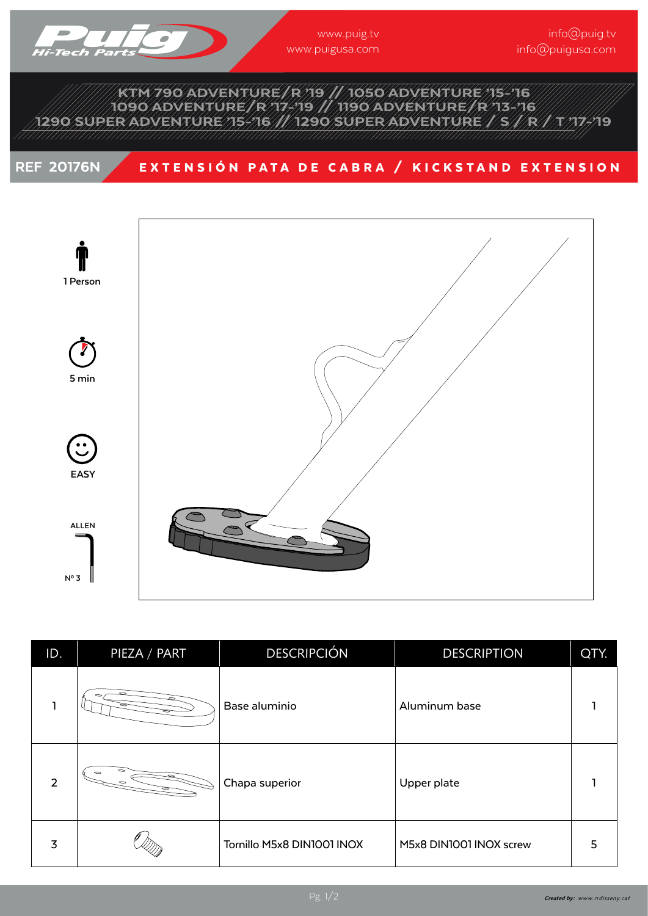

## KTM 790 ADVENTURE/R '19 // 1050 ADVENTURE '15-'16 1090 ADVENTURE/R '17-'19 // 1190 ADVENTURE/R '13-'16 1290 SUPER ADVENTURE '15-'16 // 1290 SUPER ADVENTURE / S / R / T '17-'19

## REF 20176N EXTENSIÓN PATA DE CABRA / KICKSTAND EXTENSION



| ID. | PIEZA / PART | <b>DESCRIPCIÓN</b>         | <b>DESCRIPTION</b>      | QTY. |
|-----|--------------|----------------------------|-------------------------|------|
|     |              | Base aluminio              | Aluminum base           |      |
| 2   |              | Chapa superior             | Upper plate             |      |
| 3   |              | Tornillo M5x8 DIN1001 INOX | M5x8 DIN1001 INOX screw | 5    |